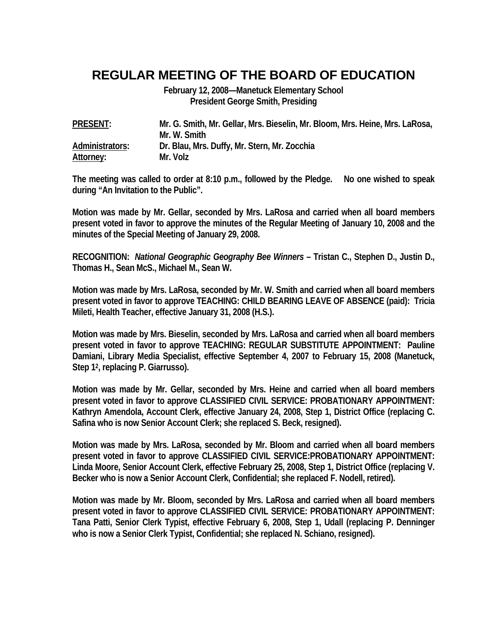## **REGULAR MEETING OF THE BOARD OF EDUCATION**

**February 12, 2008—Manetuck Elementary School President George Smith, Presiding** 

| <b>PRESENT:</b> | Mr. G. Smith, Mr. Gellar, Mrs. Bieselin, Mr. Bloom, Mrs. Heine, Mrs. LaRosa, |
|-----------------|------------------------------------------------------------------------------|
|                 | Mr. W. Smith                                                                 |
| Administrators: | Dr. Blau, Mrs. Duffy, Mr. Stern, Mr. Zocchia                                 |
| Attorney:       | Mr. Volz                                                                     |

**The meeting was called to order at 8:10 p.m., followed by the Pledge. No one wished to speak during "An Invitation to the Public".** 

**Motion was made by Mr. Gellar, seconded by Mrs. LaRosa and carried when all board members present voted in favor to approve the minutes of the Regular Meeting of January 10, 2008 and the minutes of the Special Meeting of January 29, 2008.** 

**RECOGNITION:** *National Geographic Geography Bee Winners* **– Tristan C., Stephen D., Justin D., Thomas H., Sean McS., Michael M., Sean W.** 

**Motion was made by Mrs. LaRosa, seconded by Mr. W. Smith and carried when all board members present voted in favor to approve TEACHING: CHILD BEARING LEAVE OF ABSENCE (paid): Tricia Mileti, Health Teacher, effective January 31, 2008 (H.S.).** 

**Motion was made by Mrs. Bieselin, seconded by Mrs. LaRosa and carried when all board members present voted in favor to approve TEACHING: REGULAR SUBSTITUTE APPOINTMENT: Pauline Damiani, Library Media Specialist, effective September 4, 2007 to February 15, 2008 (Manetuck, Step 12, replacing P. Giarrusso).** 

**Motion was made by Mr. Gellar, seconded by Mrs. Heine and carried when all board members present voted in favor to approve CLASSIFIED CIVIL SERVICE: PROBATIONARY APPOINTMENT: Kathryn Amendola, Account Clerk, effective January 24, 2008, Step 1, District Office (replacing C. Safina who is now Senior Account Clerk; she replaced S. Beck, resigned).** 

**Motion was made by Mrs. LaRosa, seconded by Mr. Bloom and carried when all board members present voted in favor to approve CLASSIFIED CIVIL SERVICE:PROBATIONARY APPOINTMENT: Linda Moore, Senior Account Clerk, effective February 25, 2008, Step 1, District Office (replacing V. Becker who is now a Senior Account Clerk, Confidential; she replaced F. Nodell, retired).** 

**Motion was made by Mr. Bloom, seconded by Mrs. LaRosa and carried when all board members present voted in favor to approve CLASSIFIED CIVIL SERVICE: PROBATIONARY APPOINTMENT: Tana Patti, Senior Clerk Typist, effective February 6, 2008, Step 1, Udall (replacing P. Denninger who is now a Senior Clerk Typist, Confidential; she replaced N. Schiano, resigned).**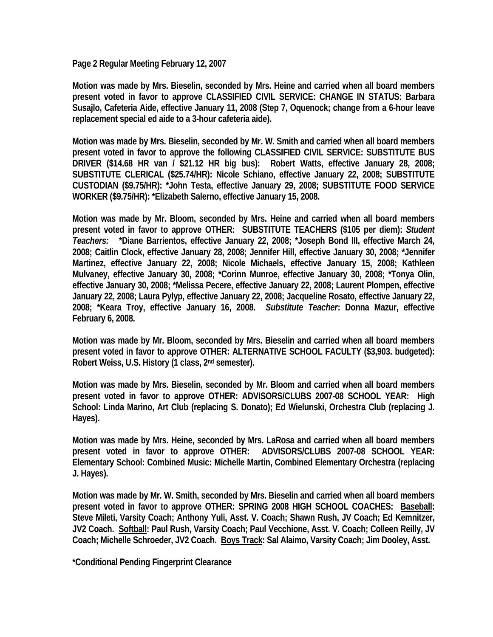**Page 2 Regular Meeting February 12, 2007** 

**Motion was made by Mrs. Bieselin, seconded by Mrs. Heine and carried when all board members present voted in favor to approve CLASSIFIED CIVIL SERVICE: CHANGE IN STATUS: Barbara Susajlo, Cafeteria Aide, effective January 11, 2008 (Step 7, Oquenock; change from a 6-hour leave replacement special ed aide to a 3-hour cafeteria aide).** 

**Motion was made by Mrs. Bieselin, seconded by Mr. W. Smith and carried when all board members present voted in favor to approve the following CLASSIFIED CIVIL SERVICE: SUBSTITUTE BUS DRIVER (\$14.68 HR van / \$21.12 HR big bus): Robert Watts, effective January 28, 2008; SUBSTITUTE CLERICAL (\$25.74/HR): Nicole Schiano, effective January 22, 2008; SUBSTITUTE CUSTODIAN (\$9.75/HR): \*John Testa, effective January 29, 2008; SUBSTITUTE FOOD SERVICE WORKER (\$9.75/HR): \*Elizabeth Salerno, effective January 15, 2008.** 

**Motion was made by Mr. Bloom, seconded by Mrs. Heine and carried when all board members present voted in favor to approve OTHER: SUBSTITUTE TEACHERS (\$105 per diem):** *Student Teachers:* **\*Diane Barrientos, effective January 22, 2008; \*Joseph Bond III, effective March 24, 2008; Caitlin Clock, effective January 28, 2008; Jennifer Hill, effective January 30, 2008; \*Jennifer Martinez, effective January 22, 2008; Nicole Michaels, effective January 15, 2008; Kathleen Mulvaney, effective January 30, 2008; \*Corinn Munroe, effective January 30, 2008; \*Tonya Olin, effective January 30, 2008; \*Melissa Pecere, effective January 22, 2008; Laurent Plompen, effective January 22, 2008; Laura Pylyp, effective January 22, 2008; Jacqueline Rosato, effective January 22, 2008; \*Keara Troy, effective January 16, 2008.** *Substitute Teacher***: Donna Mazur, effective February 6, 2008.**

**Motion was made by Mr. Bloom, seconded by Mrs. Bieselin and carried when all board members present voted in favor to approve OTHER: ALTERNATIVE SCHOOL FACULTY (\$3,903. budgeted): Robert Weiss, U.S. History (1 class, 2nd semester).** 

**Motion was made by Mrs. Bieselin, seconded by Mr. Bloom and carried when all board members present voted in favor to approve OTHER: ADVISORS/CLUBS 2007-08 SCHOOL YEAR: High School: Linda Marino, Art Club (replacing S. Donato); Ed Wielunski, Orchestra Club (replacing J. Hayes).** 

**Motion was made by Mrs. Heine, seconded by Mrs. LaRosa and carried when all board members present voted in favor to approve OTHER: ADVISORS/CLUBS 2007-08 SCHOOL YEAR: Elementary School: Combined Music: Michelle Martin, Combined Elementary Orchestra (replacing J. Hayes).** 

**Motion was made by Mr. W. Smith, seconded by Mrs. Bieselin and carried when all board members present voted in favor to approve OTHER: SPRING 2008 HIGH SCHOOL COACHES: Baseball: Steve Mileti, Varsity Coach; Anthony Yuli, Asst. V. Coach; Shawn Rush, JV Coach; Ed Kemnitzer, JV2 Coach. Softball: Paul Rush, Varsity Coach; Paul Vecchione, Asst. V. Coach; Colleen Reilly, JV Coach; Michelle Schroeder, JV2 Coach. Boys Track: Sal Alaimo, Varsity Coach; Jim Dooley, Asst.** 

**\*Conditional Pending Fingerprint Clearance**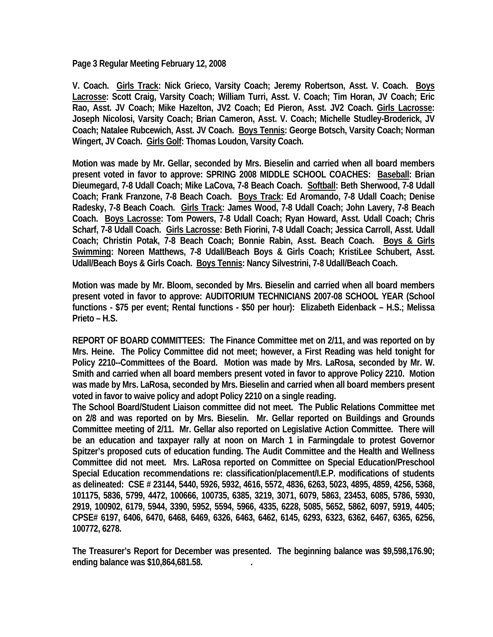**Page 3 Regular Meeting February 12, 2008** 

**V. Coach. Girls Track: Nick Grieco, Varsity Coach; Jeremy Robertson, Asst. V. Coach. Boys Lacrosse: Scott Craig, Varsity Coach; William Turri, Asst. V. Coach; Tim Horan, JV Coach; Eric Rao, Asst. JV Coach; Mike Hazelton, JV2 Coach; Ed Pieron, Asst. JV2 Coach. Girls Lacrosse: Joseph Nicolosi, Varsity Coach; Brian Cameron, Asst. V. Coach; Michelle Studley-Broderick, JV Coach; Natalee Rubcewich, Asst. JV Coach. Boys Tennis: George Botsch, Varsity Coach; Norman Wingert, JV Coach. Girls Golf: Thomas Loudon, Varsity Coach.** 

**Motion was made by Mr. Gellar, seconded by Mrs. Bieselin and carried when all board members present voted in favor to approve: SPRING 2008 MIDDLE SCHOOL COACHES: Baseball: Brian Dieumegard, 7-8 Udall Coach; Mike LaCova, 7-8 Beach Coach. Softball: Beth Sherwood, 7-8 Udall Coach; Frank Franzone, 7-8 Beach Coach. Boys Track: Ed Aromando, 7-8 Udall Coach; Denise Radesky, 7-8 Beach Coach. Girls Track: James Wood, 7-8 Udall Coach; John Lavery, 7-8 Beach Coach. Boys Lacrosse: Tom Powers, 7-8 Udall Coach; Ryan Howard, Asst. Udall Coach; Chris Scharf, 7-8 Udall Coach. Girls Lacrosse: Beth Fiorini, 7-8 Udall Coach; Jessica Carroll, Asst. Udall Coach; Christin Potak, 7-8 Beach Coach; Bonnie Rabin, Asst. Beach Coach. Boys & Girls Swimming: Noreen Matthews, 7-8 Udall/Beach Boys & Girls Coach; KristiLee Schubert, Asst. Udall/Beach Boys & Girls Coach. Boys Tennis: Nancy Silvestrini, 7-8 Udall/Beach Coach.** 

**Motion was made by Mr. Bloom, seconded by Mrs. Bieselin and carried when all board members present voted in favor to approve: AUDITORIUM TECHNICIANS 2007-08 SCHOOL YEAR (School functions - \$75 per event; Rental functions - \$50 per hour): Elizabeth Eidenback – H.S.; Melissa Prieto – H.S.** 

**REPORT OF BOARD COMMITTEES: The Finance Committee met on 2/11, and was reported on by Mrs. Heine. The Policy Committee did not meet; however, a First Reading was held tonight for Policy 2210--Committees of the Board. Motion was made by Mrs. LaRosa, seconded by Mr. W. Smith and carried when all board members present voted in favor to approve Policy 2210. Motion was made by Mrs. LaRosa, seconded by Mrs. Bieselin and carried when all board members present voted in favor to waive policy and adopt Policy 2210 on a single reading.** 

**The School Board/Student Liaison committee did not meet. The Public Relations Committee met on 2/8 and was reported on by Mrs. Bieselin. Mr. Gellar reported on Buildings and Grounds Committee meeting of 2/11. Mr. Gellar also reported on Legislative Action Committee. There will be an education and taxpayer rally at noon on March 1 in Farmingdale to protest Governor Spitzer's proposed cuts of education funding. The Audit Committee and the Health and Wellness Committee did not meet. Mrs. LaRosa reported on Committee on Special Education/Preschool Special Education recommendations re: classification/placement/I.E.P. modifications of students as delineated: CSE # 23144, 5440, 5926, 5932, 4616, 5572, 4836, 6263, 5023, 4895, 4859, 4256, 5368, 101175, 5836, 5799, 4472, 100666, 100735, 6385, 3219, 3071, 6079, 5863, 23453, 6085, 5786, 5930, 2919, 100902, 6179, 5944, 3390, 5952, 5594, 5966, 4335, 6228, 5085, 5652, 5862, 6097, 5919, 4405; CPSE# 6197, 6406, 6470, 6468, 6469, 6326, 6463, 6462, 6145, 6293, 6323, 6362, 6467, 6365, 6256, 100772, 6278.** 

**The Treasurer's Report for December was presented. The beginning balance was \$9,598,176.90; ending balance was \$10,864,681.58. .**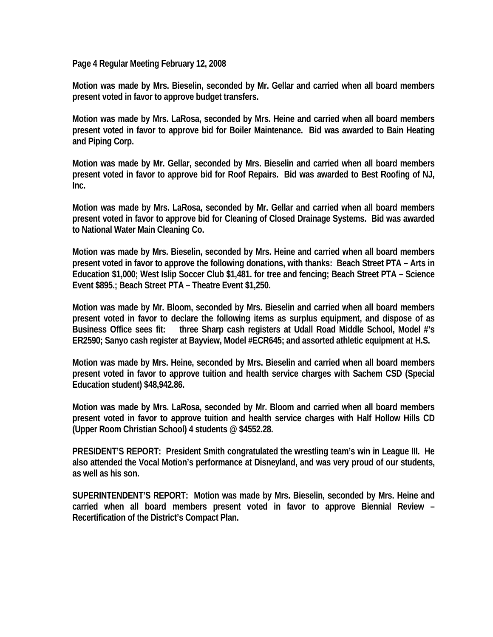**Page 4 Regular Meeting February 12, 2008** 

**Motion was made by Mrs. Bieselin, seconded by Mr. Gellar and carried when all board members present voted in favor to approve budget transfers.** 

**Motion was made by Mrs. LaRosa, seconded by Mrs. Heine and carried when all board members present voted in favor to approve bid for Boiler Maintenance. Bid was awarded to Bain Heating and Piping Corp.** 

**Motion was made by Mr. Gellar, seconded by Mrs. Bieselin and carried when all board members present voted in favor to approve bid for Roof Repairs. Bid was awarded to Best Roofing of NJ, Inc.** 

**Motion was made by Mrs. LaRosa, seconded by Mr. Gellar and carried when all board members present voted in favor to approve bid for Cleaning of Closed Drainage Systems. Bid was awarded to National Water Main Cleaning Co.** 

**Motion was made by Mrs. Bieselin, seconded by Mrs. Heine and carried when all board members present voted in favor to approve the following donations, with thanks: Beach Street PTA – Arts in Education \$1,000; West Islip Soccer Club \$1,481. for tree and fencing; Beach Street PTA – Science Event \$895.; Beach Street PTA – Theatre Event \$1,250.** 

**Motion was made by Mr. Bloom, seconded by Mrs. Bieselin and carried when all board members present voted in favor to declare the following items as surplus equipment, and dispose of as Business Office sees fit: three Sharp cash registers at Udall Road Middle School, Model #'s ER2590; Sanyo cash register at Bayview, Model #ECR645; and assorted athletic equipment at H.S.** 

**Motion was made by Mrs. Heine, seconded by Mrs. Bieselin and carried when all board members present voted in favor to approve tuition and health service charges with Sachem CSD (Special Education student) \$48,942.86.** 

**Motion was made by Mrs. LaRosa, seconded by Mr. Bloom and carried when all board members present voted in favor to approve tuition and health service charges with Half Hollow Hills CD (Upper Room Christian School) 4 students @ \$4552.28.** 

**PRESIDENT'S REPORT: President Smith congratulated the wrestling team's win in League III. He also attended the Vocal Motion's performance at Disneyland, and was very proud of our students, as well as his son.** 

**SUPERINTENDENT'S REPORT: Motion was made by Mrs. Bieselin, seconded by Mrs. Heine and carried when all board members present voted in favor to approve Biennial Review – Recertification of the District's Compact Plan.**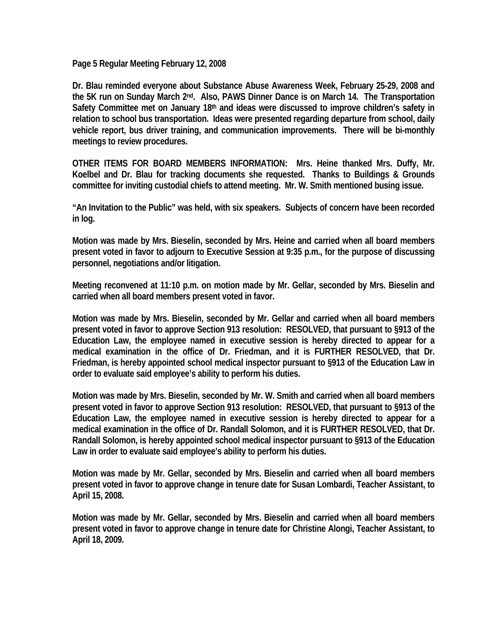**Page 5 Regular Meeting February 12, 2008** 

**Dr. Blau reminded everyone about Substance Abuse Awareness Week, February 25-29, 2008 and the 5K run on Sunday March 2nd. Also, PAWS Dinner Dance is on March 14. The Transportation Safety Committee met on January 18th and ideas were discussed to improve children's safety in relation to school bus transportation. Ideas were presented regarding departure from school, daily vehicle report, bus driver training, and communication improvements. There will be bi-monthly meetings to review procedures.** 

**OTHER ITEMS FOR BOARD MEMBERS INFORMATION: Mrs. Heine thanked Mrs. Duffy, Mr. Koelbel and Dr. Blau for tracking documents she requested. Thanks to Buildings & Grounds committee for inviting custodial chiefs to attend meeting. Mr. W. Smith mentioned busing issue.** 

**"An Invitation to the Public" was held, with six speakers. Subjects of concern have been recorded in log.** 

**Motion was made by Mrs. Bieselin, seconded by Mrs. Heine and carried when all board members present voted in favor to adjourn to Executive Session at 9:35 p.m., for the purpose of discussing personnel, negotiations and/or litigation.** 

**Meeting reconvened at 11:10 p.m. on motion made by Mr. Gellar, seconded by Mrs. Bieselin and carried when all board members present voted in favor.** 

**Motion was made by Mrs. Bieselin, seconded by Mr. Gellar and carried when all board members present voted in favor to approve Section 913 resolution: RESOLVED, that pursuant to §913 of the Education Law, the employee named in executive session is hereby directed to appear for a medical examination in the office of Dr. Friedman, and it is FURTHER RESOLVED, that Dr. Friedman, is hereby appointed school medical inspector pursuant to §913 of the Education Law in order to evaluate said employee's ability to perform his duties.** 

**Motion was made by Mrs. Bieselin, seconded by Mr. W. Smith and carried when all board members present voted in favor to approve Section 913 resolution: RESOLVED, that pursuant to §913 of the Education Law, the employee named in executive session is hereby directed to appear for a medical examination in the office of Dr. Randall Solomon, and it is FURTHER RESOLVED, that Dr. Randall Solomon, is hereby appointed school medical inspector pursuant to §913 of the Education Law in order to evaluate said employee's ability to perform his duties.** 

**Motion was made by Mr. Gellar, seconded by Mrs. Bieselin and carried when all board members present voted in favor to approve change in tenure date for Susan Lombardi, Teacher Assistant, to April 15, 2008.** 

**Motion was made by Mr. Gellar, seconded by Mrs. Bieselin and carried when all board members present voted in favor to approve change in tenure date for Christine Alongi, Teacher Assistant, to April 18, 2009.**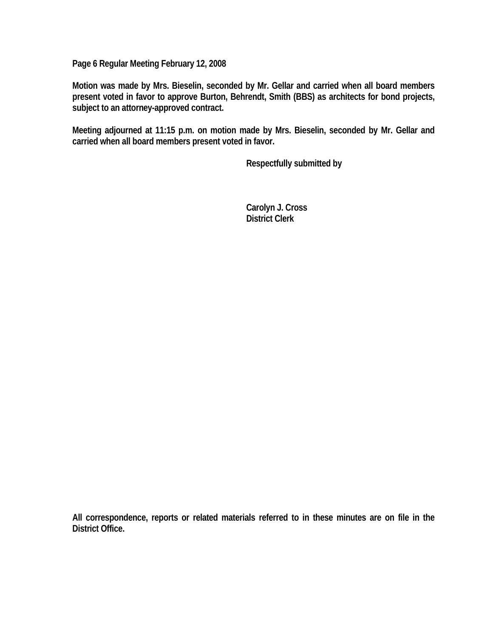**Page 6 Regular Meeting February 12, 2008** 

**Motion was made by Mrs. Bieselin, seconded by Mr. Gellar and carried when all board members present voted in favor to approve Burton, Behrendt, Smith (BBS) as architects for bond projects, subject to an attorney-approved contract.** 

**Meeting adjourned at 11:15 p.m. on motion made by Mrs. Bieselin, seconded by Mr. Gellar and carried when all board members present voted in favor.** 

 **Respectfully submitted by** 

 **Carolyn J. Cross District Clerk** 

**All correspondence, reports or related materials referred to in these minutes are on file in the District Office.**